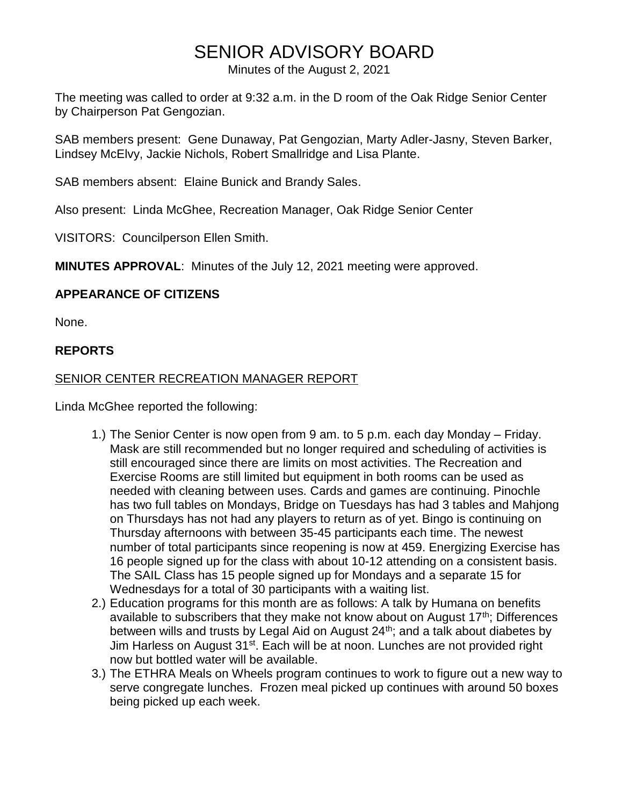# SENIOR ADVISORY BOARD

Minutes of the August 2, 2021

The meeting was called to order at 9:32 a.m. in the D room of the Oak Ridge Senior Center by Chairperson Pat Gengozian.

SAB members present: Gene Dunaway, Pat Gengozian, Marty Adler-Jasny, Steven Barker, Lindsey McElvy, Jackie Nichols, Robert Smallridge and Lisa Plante.

SAB members absent: Elaine Bunick and Brandy Sales.

Also present: Linda McGhee, Recreation Manager, Oak Ridge Senior Center

VISITORS: Councilperson Ellen Smith.

**MINUTES APPROVAL**: Minutes of the July 12, 2021 meeting were approved.

## **APPEARANCE OF CITIZENS**

None.

## **REPORTS**

## SENIOR CENTER RECREATION MANAGER REPORT

Linda McGhee reported the following:

- 1.) The Senior Center is now open from 9 am. to 5 p.m. each day Monday Friday. Mask are still recommended but no longer required and scheduling of activities is still encouraged since there are limits on most activities. The Recreation and Exercise Rooms are still limited but equipment in both rooms can be used as needed with cleaning between uses. Cards and games are continuing. Pinochle has two full tables on Mondays, Bridge on Tuesdays has had 3 tables and Mahjong on Thursdays has not had any players to return as of yet. Bingo is continuing on Thursday afternoons with between 35-45 participants each time. The newest number of total participants since reopening is now at 459. Energizing Exercise has 16 people signed up for the class with about 10-12 attending on a consistent basis. The SAIL Class has 15 people signed up for Mondays and a separate 15 for Wednesdays for a total of 30 participants with a waiting list.
- 2.) Education programs for this month are as follows: A talk by Humana on benefits available to subscribers that they make not know about on August  $17<sup>th</sup>$ ; Differences between wills and trusts by Legal Aid on August 24<sup>th</sup>; and a talk about diabetes by Jim Harless on August 31<sup>st</sup>. Each will be at noon. Lunches are not provided right now but bottled water will be available.
- 3.) The ETHRA Meals on Wheels program continues to work to figure out a new way to serve congregate lunches. Frozen meal picked up continues with around 50 boxes being picked up each week.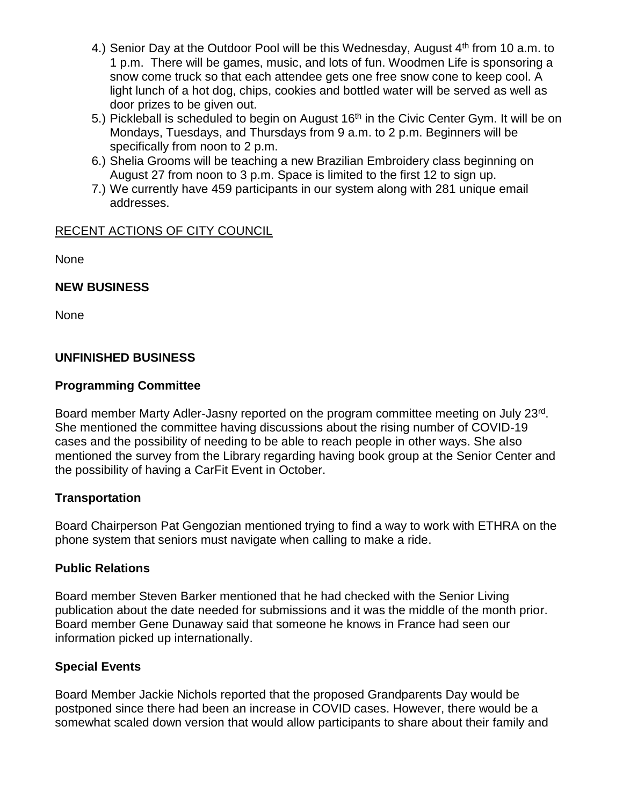- 4.) Senior Day at the Outdoor Pool will be this Wednesday, August 4<sup>th</sup> from 10 a.m. to 1 p.m. There will be games, music, and lots of fun. Woodmen Life is sponsoring a snow come truck so that each attendee gets one free snow cone to keep cool. A light lunch of a hot dog, chips, cookies and bottled water will be served as well as door prizes to be given out.
- 5.) Pickleball is scheduled to begin on August  $16<sup>th</sup>$  in the Civic Center Gym. It will be on Mondays, Tuesdays, and Thursdays from 9 a.m. to 2 p.m. Beginners will be specifically from noon to 2 p.m.
- 6.) Shelia Grooms will be teaching a new Brazilian Embroidery class beginning on August 27 from noon to 3 p.m. Space is limited to the first 12 to sign up.
- 7.) We currently have 459 participants in our system along with 281 unique email addresses.

# RECENT ACTIONS OF CITY COUNCIL

None

## **NEW BUSINESS**

None

# **UNFINISHED BUSINESS**

## **Programming Committee**

Board member Marty Adler-Jasny reported on the program committee meeting on July 23rd. She mentioned the committee having discussions about the rising number of COVID-19 cases and the possibility of needing to be able to reach people in other ways. She also mentioned the survey from the Library regarding having book group at the Senior Center and the possibility of having a CarFit Event in October.

# **Transportation**

Board Chairperson Pat Gengozian mentioned trying to find a way to work with ETHRA on the phone system that seniors must navigate when calling to make a ride.

## **Public Relations**

Board member Steven Barker mentioned that he had checked with the Senior Living publication about the date needed for submissions and it was the middle of the month prior. Board member Gene Dunaway said that someone he knows in France had seen our information picked up internationally.

# **Special Events**

Board Member Jackie Nichols reported that the proposed Grandparents Day would be postponed since there had been an increase in COVID cases. However, there would be a somewhat scaled down version that would allow participants to share about their family and